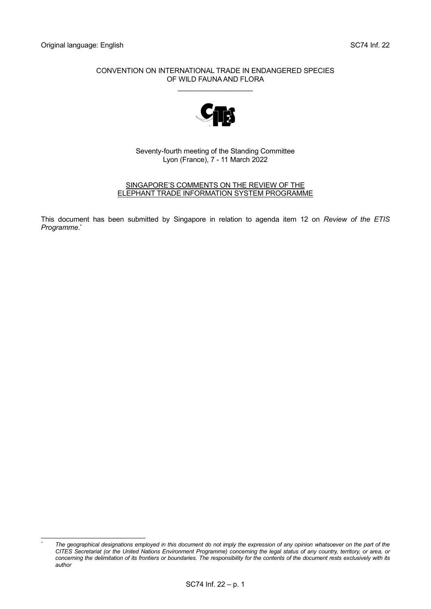#### CONVENTION ON INTERNATIONAL TRADE IN ENDANGERED SPECIES OF WILD FAUNA AND FLORA

\_\_\_\_\_\_\_\_\_\_\_\_\_\_\_\_\_\_\_



Seventy-fourth meeting of the Standing Committee Lyon (France), 7 - 11 March 2022

#### SINGAPORE'S COMMENTS ON THE REVIEW OF THE ELEPHANT TRADE INFORMATION SYSTEM PROGRAMME

This document has been submitted by Singapore in relation to agenda item 12 on *Review of the ETIS Programme*. \*

*<sup>\*</sup> The geographical designations employed in this document do not imply the expression of any opinion whatsoever on the part of the CITES Secretariat (or the United Nations Environment Programme) concerning the legal status of any country, territory, or area, or concerning the delimitation of its frontiers or boundaries. The responsibility for the contents of the document rests exclusively with its author*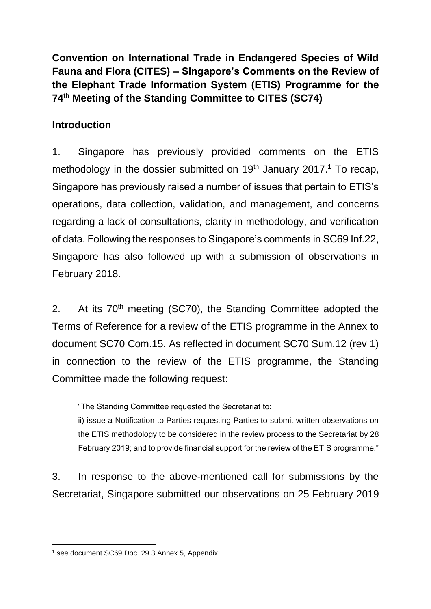**Convention on International Trade in Endangered Species of Wild Fauna and Flora (CITES) – Singapore's Comments on the Review of the Elephant Trade Information System (ETIS) Programme for the 74th Meeting of the Standing Committee to CITES (SC74)**

## **Introduction**

1. Singapore has previously provided comments on the ETIS methodology in the dossier submitted on  $19<sup>th</sup>$  January 2017.<sup>1</sup> To recap, Singapore has previously raised a number of issues that pertain to ETIS's operations, data collection, validation, and management, and concerns regarding a lack of consultations, clarity in methodology, and verification of data. Following the responses to Singapore's comments in SC69 Inf.22, Singapore has also followed up with a submission of observations in February 2018.

2. At its 70<sup>th</sup> meeting (SC70), the Standing Committee adopted the Terms of Reference for a review of the ETIS programme in the Annex to document SC70 Com.15. As reflected in document SC70 Sum.12 (rev 1) in connection to the review of the ETIS programme, the Standing Committee made the following request:

"The Standing Committee requested the Secretariat to:

ii) issue a Notification to Parties requesting Parties to submit written observations on the ETIS methodology to be considered in the review process to the Secretariat by 28 February 2019; and to provide financial support for the review of the ETIS programme."

3. In response to the above-mentioned call for submissions by the Secretariat, Singapore submitted our observations on 25 February 2019

<sup>1</sup> see document SC69 Doc. 29.3 Annex 5, Appendix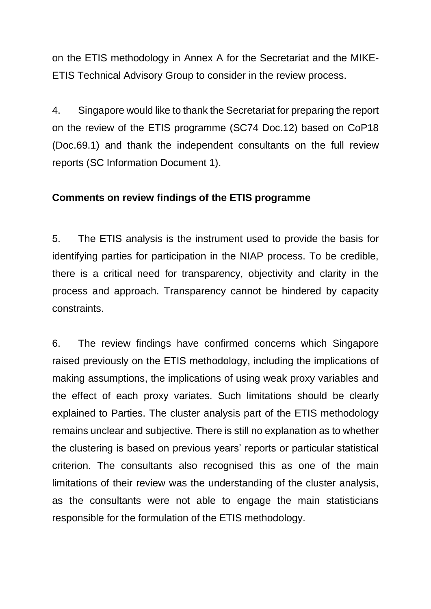on the ETIS methodology in Annex A for the Secretariat and the MIKE-ETIS Technical Advisory Group to consider in the review process.

4. Singapore would like to thank the Secretariat for preparing the report on the review of the ETIS programme (SC74 Doc.12) based on CoP18 (Doc.69.1) and thank the independent consultants on the full review reports (SC Information Document 1).

#### **Comments on review findings of the ETIS programme**

5. The ETIS analysis is the instrument used to provide the basis for identifying parties for participation in the NIAP process. To be credible, there is a critical need for transparency, objectivity and clarity in the process and approach. Transparency cannot be hindered by capacity constraints.

6. The review findings have confirmed concerns which Singapore raised previously on the ETIS methodology, including the implications of making assumptions, the implications of using weak proxy variables and the effect of each proxy variates. Such limitations should be clearly explained to Parties. The cluster analysis part of the ETIS methodology remains unclear and subjective. There is still no explanation as to whether the clustering is based on previous years' reports or particular statistical criterion. The consultants also recognised this as one of the main limitations of their review was the understanding of the cluster analysis, as the consultants were not able to engage the main statisticians responsible for the formulation of the ETIS methodology.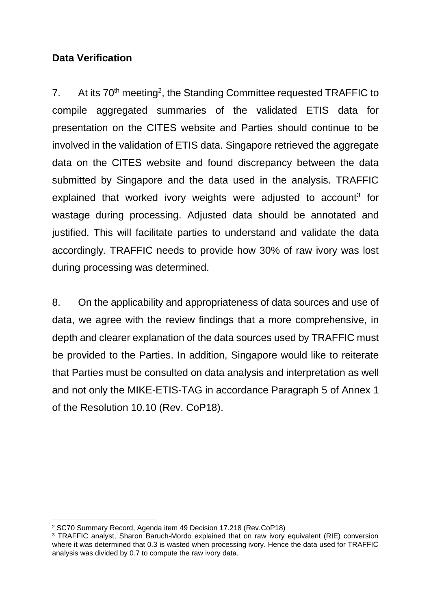## **Data Verification**

7. At its  $70<sup>th</sup>$  meeting<sup>2</sup>, the Standing Committee requested TRAFFIC to compile aggregated summaries of the validated ETIS data for presentation on the CITES website and Parties should continue to be involved in the validation of ETIS data. Singapore retrieved the aggregate data on the CITES website and found discrepancy between the data submitted by Singapore and the data used in the analysis. TRAFFIC explained that worked ivory weights were adjusted to account<sup>3</sup> for wastage during processing. Adjusted data should be annotated and justified. This will facilitate parties to understand and validate the data accordingly. TRAFFIC needs to provide how 30% of raw ivory was lost during processing was determined.

8. On the applicability and appropriateness of data sources and use of data, we agree with the review findings that a more comprehensive, in depth and clearer explanation of the data sources used by TRAFFIC must be provided to the Parties. In addition, Singapore would like to reiterate that Parties must be consulted on data analysis and interpretation as well and not only the MIKE-ETIS-TAG in accordance Paragraph 5 of Annex 1 of the Resolution 10.10 (Rev. CoP18).

<sup>2</sup> SC70 Summary Record, Agenda item 49 Decision 17.218 (Rev.CoP18)

<sup>3</sup> TRAFFIC analyst, Sharon Baruch-Mordo explained that on raw ivory equivalent (RIE) conversion where it was determined that 0.3 is wasted when processing ivory. Hence the data used for TRAFFIC analysis was divided by 0.7 to compute the raw ivory data.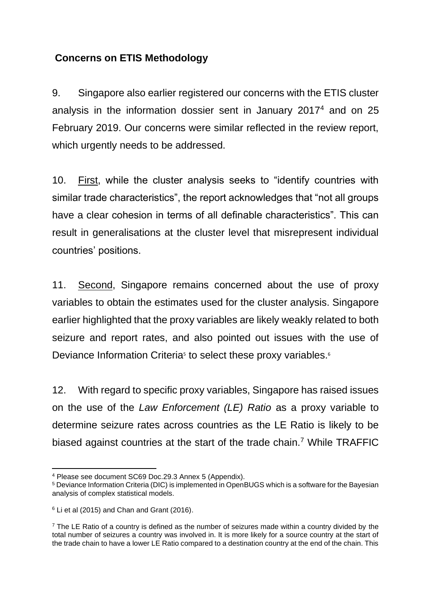#### **Concerns on ETIS Methodology**

9. Singapore also earlier registered our concerns with the ETIS cluster analysis in the information dossier sent in January 2017<sup>4</sup> and on 25 February 2019. Our concerns were similar reflected in the review report, which urgently needs to be addressed.

10. First, while the cluster analysis seeks to "identify countries with similar trade characteristics", the report acknowledges that "not all groups have a clear cohesion in terms of all definable characteristics". This can result in generalisations at the cluster level that misrepresent individual countries' positions.

11. Second, Singapore remains concerned about the use of proxy variables to obtain the estimates used for the cluster analysis. Singapore earlier highlighted that the proxy variables are likely weakly related to both seizure and report rates, and also pointed out issues with the use of Deviance Information Criteria<sup>5</sup> to select these proxy variables.<sup>6</sup>

12. With regard to specific proxy variables, Singapore has raised issues on the use of the *Law Enforcement (LE) Ratio* as a proxy variable to determine seizure rates across countries as the LE Ratio is likely to be biased against countries at the start of the trade chain.<sup>7</sup> While TRAFFIC

<sup>4</sup> Please see document SC69 Doc.29.3 Annex 5 (Appendix).

<sup>5</sup> Deviance Information Criteria (DIC) is implemented in OpenBUGS which is a software for the Bayesian analysis of complex statistical models.

 $6$  Li et al (2015) and Chan and Grant (2016).

 $<sup>7</sup>$  The LE Ratio of a country is defined as the number of seizures made within a country divided by the</sup> total number of seizures a country was involved in. It is more likely for a source country at the start of the trade chain to have a lower LE Ratio compared to a destination country at the end of the chain. This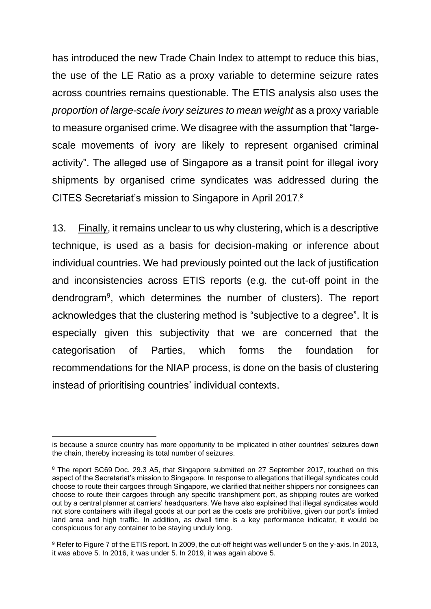has introduced the new Trade Chain Index to attempt to reduce this bias, the use of the LE Ratio as a proxy variable to determine seizure rates across countries remains questionable. The ETIS analysis also uses the *proportion of large-scale ivory seizures to mean weight* as a proxy variable to measure organised crime. We disagree with the assumption that "largescale movements of ivory are likely to represent organised criminal activity". The alleged use of Singapore as a transit point for illegal ivory shipments by organised crime syndicates was addressed during the CITES Secretariat's mission to Singapore in April 2017. 8

13. Finally, it remains unclear to us why clustering, which is a descriptive technique, is used as a basis for decision-making or inference about individual countries. We had previously pointed out the lack of justification and inconsistencies across ETIS reports (e.g. the cut-off point in the dendrogram<sup>9</sup>, which determines the number of clusters). The report acknowledges that the clustering method is "subjective to a degree". It is especially given this subjectivity that we are concerned that the categorisation of Parties, which forms the foundation for recommendations for the NIAP process, is done on the basis of clustering instead of prioritising countries' individual contexts.

is because a source country has more opportunity to be implicated in other countries' seizures down the chain, thereby increasing its total number of seizures.

<sup>&</sup>lt;sup>8</sup> The report SC69 Doc. 29.3 A5, that Singapore submitted on 27 September 2017, touched on this aspect of the Secretariat's mission to Singapore. In response to allegations that illegal syndicates could choose to route their cargoes through Singapore, we clarified that neither shippers nor consignees can choose to route their cargoes through any specific transhipment port, as shipping routes are worked out by a central planner at carriers' headquarters. We have also explained that illegal syndicates would not store containers with illegal goods at our port as the costs are prohibitive, given our port's limited land area and high traffic. In addition, as dwell time is a key performance indicator, it would be conspicuous for any container to be staying unduly long.

<sup>9</sup> Refer to Figure 7 of the ETIS report. In 2009, the cut-off height was well under 5 on the y-axis. In 2013, it was above 5. In 2016, it was under 5. In 2019, it was again above 5.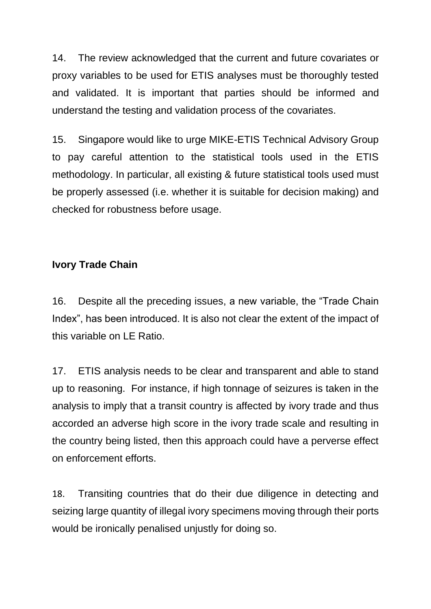14. The review acknowledged that the current and future covariates or proxy variables to be used for ETIS analyses must be thoroughly tested and validated. It is important that parties should be informed and understand the testing and validation process of the covariates.

15. Singapore would like to urge MIKE-ETIS Technical Advisory Group to pay careful attention to the statistical tools used in the ETIS methodology. In particular, all existing & future statistical tools used must be properly assessed (i.e. whether it is suitable for decision making) and checked for robustness before usage.

## **Ivory Trade Chain**

16. Despite all the preceding issues, a new variable, the "Trade Chain Index", has been introduced. It is also not clear the extent of the impact of this variable on LE Ratio.

17. ETIS analysis needs to be clear and transparent and able to stand up to reasoning. For instance, if high tonnage of seizures is taken in the analysis to imply that a transit country is affected by ivory trade and thus accorded an adverse high score in the ivory trade scale and resulting in the country being listed, then this approach could have a perverse effect on enforcement efforts.

18. Transiting countries that do their due diligence in detecting and seizing large quantity of illegal ivory specimens moving through their ports would be ironically penalised unjustly for doing so.